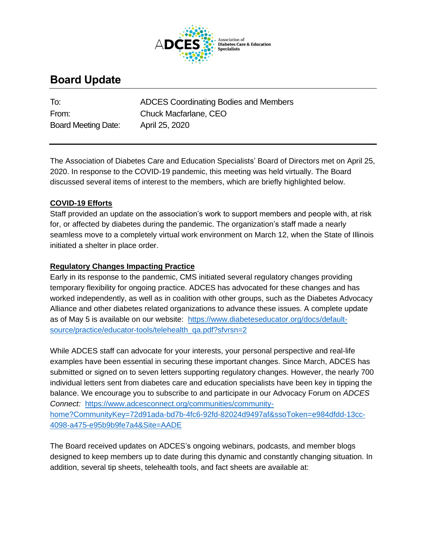

# **Board Update**

Board Meeting Date: April 25, 2020

To: ADCES Coordinating Bodies and Members From: Chuck Macfarlane, CEO

The Association of Diabetes Care and Education Specialists' Board of Directors met on April 25, 2020. In response to the COVID-19 pandemic, this meeting was held virtually. The Board discussed several items of interest to the members, which are briefly highlighted below.

## **COVID-19 Efforts**

Staff provided an update on the association's work to support members and people with, at risk for, or affected by diabetes during the pandemic. The organization's staff made a nearly seamless move to a completely virtual work environment on March 12, when the State of Illinois initiated a shelter in place order.

### **Regulatory Changes Impacting Practice**

Early in its response to the pandemic, CMS initiated several regulatory changes providing temporary flexibility for ongoing practice. ADCES has advocated for these changes and has worked independently, as well as in coalition with other groups, such as the Diabetes Advocacy Alliance and other diabetes related organizations to advance these issues. A complete update as of May 5 is available on our website: [https://www.diabeteseducator.org/docs/default](https://www.diabeteseducator.org/docs/default-source/practice/educator-tools/telehealth_qa.pdf?sfvrsn=2)[source/practice/educator-tools/telehealth\\_qa.pdf?sfvrsn=2](https://www.diabeteseducator.org/docs/default-source/practice/educator-tools/telehealth_qa.pdf?sfvrsn=2)

While ADCES staff can advocate for your interests, your personal perspective and real-life examples have been essential in securing these important changes. Since March, ADCES has submitted or signed on to seven letters supporting regulatory changes. However, the nearly 700 individual letters sent from diabetes care and education specialists have been key in tipping the balance. We encourage you to subscribe to and participate in our Advocacy Forum on *ADCES Connect:* [https://www.adcesconnect.org/communities/community](https://www.adcesconnect.org/communities/community-home?CommunityKey=72d91ada-bd7b-4fc6-92fd-82024d9497af&ssoToken=e984dfdd-13cc-4098-a475-e95b9b9fe7a4&Site=AADE)[home?CommunityKey=72d91ada-bd7b-4fc6-92fd-82024d9497af&ssoToken=e984dfdd-13cc-](https://www.adcesconnect.org/communities/community-home?CommunityKey=72d91ada-bd7b-4fc6-92fd-82024d9497af&ssoToken=e984dfdd-13cc-4098-a475-e95b9b9fe7a4&Site=AADE)[4098-a475-e95b9b9fe7a4&Site=AADE](https://www.adcesconnect.org/communities/community-home?CommunityKey=72d91ada-bd7b-4fc6-92fd-82024d9497af&ssoToken=e984dfdd-13cc-4098-a475-e95b9b9fe7a4&Site=AADE)

The Board received updates on ADCES's ongoing webinars, podcasts, and member blogs designed to keep members up to date during this dynamic and constantly changing situation. In addition, several tip sheets, telehealth tools, and fact sheets are available at: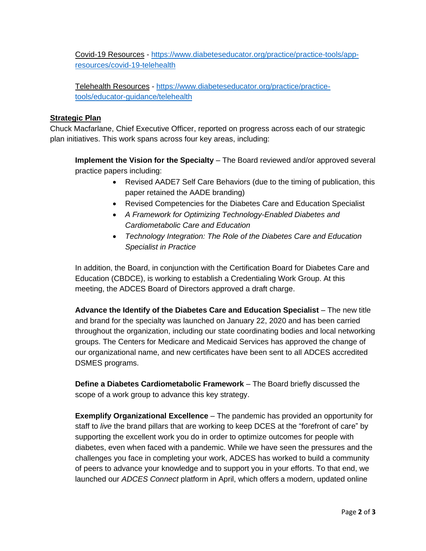Covid-19 Resources - [https://www.diabeteseducator.org/practice/practice-tools/app](https://www.diabeteseducator.org/practice/practice-tools/app-resources/covid-19-telehealth)[resources/covid-19-telehealth](https://www.diabeteseducator.org/practice/practice-tools/app-resources/covid-19-telehealth)

Telehealth Resources - [https://www.diabeteseducator.org/practice/practice](https://www.diabeteseducator.org/practice/practice-tools/educator-guidance/telehealth)[tools/educator-guidance/telehealth](https://www.diabeteseducator.org/practice/practice-tools/educator-guidance/telehealth)

#### **Strategic Plan**

Chuck Macfarlane, Chief Executive Officer, reported on progress across each of our strategic plan initiatives. This work spans across four key areas, including:

**Implement the Vision for the Specialty** – The Board reviewed and/or approved several practice papers including:

- Revised AADE7 Self Care Behaviors (due to the timing of publication, this paper retained the AADE branding)
- Revised Competencies for the Diabetes Care and Education Specialist
- *A Framework for Optimizing Technology-Enabled Diabetes and Cardiometabolic Care and Education*
- *Technology Integration: The Role of the Diabetes Care and Education Specialist in Practice*

In addition, the Board, in conjunction with the Certification Board for Diabetes Care and Education (CBDCE), is working to establish a Credentialing Work Group. At this meeting, the ADCES Board of Directors approved a draft charge.

**Advance the Identify of the Diabetes Care and Education Specialist** – The new title and brand for the specialty was launched on January 22, 2020 and has been carried throughout the organization, including our state coordinating bodies and local networking groups. The Centers for Medicare and Medicaid Services has approved the change of our organizational name, and new certificates have been sent to all ADCES accredited DSMES programs.

**Define a Diabetes Cardiometabolic Framework** – The Board briefly discussed the scope of a work group to advance this key strategy.

**Exemplify Organizational Excellence** – The pandemic has provided an opportunity for staff to *live* the brand pillars that are working to keep DCES at the "forefront of care" by supporting the excellent work you do in order to optimize outcomes for people with diabetes, even when faced with a pandemic. While we have seen the pressures and the challenges you face in completing your work, ADCES has worked to build a community of peers to advance your knowledge and to support you in your efforts. To that end, we launched our *ADCES Connect* platform in April, which offers a modern, updated online